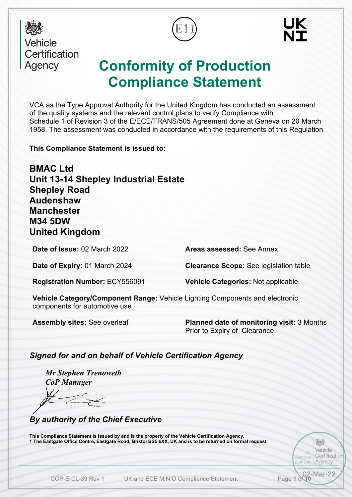

Vehicle Certification Agency

# **Conformity of Production Compliance Statement**

VCA as the Type Approval Authority for the United Kingdom has conducted an assessment of the quality systems and the relevant control plans to verify Compliance with Schedule 1 of Revision 3 of the E/ECE/TRANS/505 Agreement done at Geneva on 20 March 1958. The assessment was conducted in accordance with the requirements of this Regulation

**This Compliance Statement is issued to:**

**BMAC Ltd Unit 13-14 Shepley Industrial Estate Shepley Road Audenshaw Manchester M34 5DW United Kingdom**

**Date of Issue:** 02 March 2022 **Areas assessed:** See Annex

**Date of Expiry:** 01 March 2024 **Clearance Scope:** See legislation table

  $\mathbf{r}$ 

**Vehicle Categories: Not applicable** 

**Vehicle Category/Component Range:** Vehicle Lighting Components and electronic components for automotive use

**Assembly sites:** See overleaf **Planned date of monitoring visit:** 3 Months Prior to Expiry of Clearance.

> UK **Approva** Authority

> > 02-Mar-22

烦 Vehicle Certificatio Agency

*Signed for and on behalf of Vehicle Certification Agency*

*Mr Stephen Trenoweth CoP Manager*

*By authority of the Chief Executive*

**This Compliance Statement is issued by and is the property of the Vehicle Certification Agency, 1 The Eastgate Office Centre, Eastgate Road, Bristol BS5 6XX, UK and is to be returned on formal request**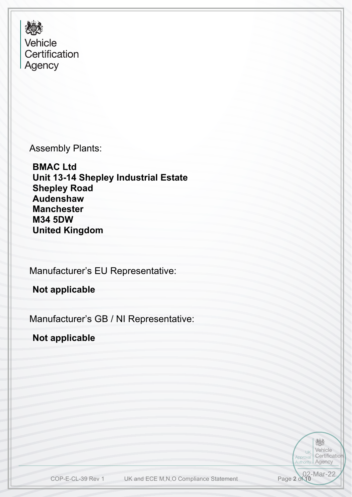爆 Vehicle Certification Agency

Assembly Plants:

**BMAC Ltd Unit 13-14 Shepley Industrial Estate Shepley Road Audenshaw Manchester M34 5DW United Kingdom**

 Manufacturer's EU Representative:

**Not applicable**

Manufacturer's GB / NI Representative:

**Not applicable**

炒 Vehicle UK Certification Approval Authority Agency Page 2 of 10<br>Page 2 of 10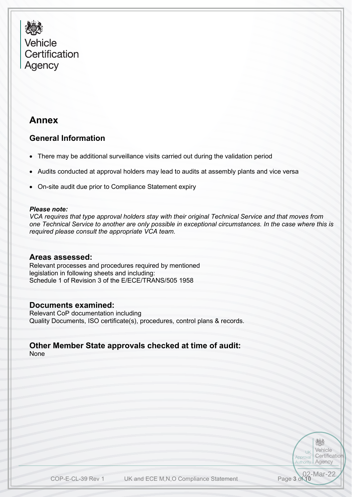

## **Annex**

### **General Information**

- There may be additional surveillance visits carried out during the validation period
- Audits conducted at approval holders may lead to audits at assembly plants and vice versa
- On-site audit due prior to Compliance Statement expiry

#### *Please note:*

*VCA requires that type approval holders stay with their original Technical Service and that moves from one Technical Service to another are only possible in exceptional circumstances. In the case where this is required please consult the appropriate VCA team.*

#### **Areas assessed:**

 Schedule 1 of Revision 3 of the E/ECE/TRANS/505 1958 Relevant processes and procedures required by mentioned legislation in following sheets and including:

### **Documents examined:**

Relevant CoP documentation including Quality Documents, ISO certificate(s), procedures, control plans & records.

#### **Other Member State approvals checked at time of audit:** None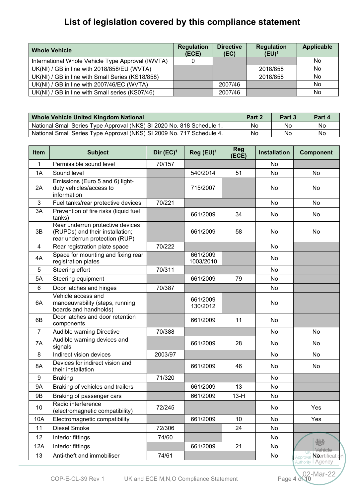# **List of legislation covered by this compliance statement**

| <b>Whole Vehicle</b>                              | <b>Regulation</b><br>(ECE) | <b>Directive</b><br>(EC) | <b>Regulation</b><br>$(EU)^1$ | <b>Applicable</b> |
|---------------------------------------------------|----------------------------|--------------------------|-------------------------------|-------------------|
| International Whole Vehicle Type Approval (IWVTA) |                            |                          |                               | No                |
| UK(NI) / GB in line with 2018/858/EU (WVTA)       |                            |                          | 2018/858                      | No                |
| UK(NI) / GB in line with Small Series (KS18/858)  |                            |                          | 2018/858                      | No                |
| UK(NI) / GB in line with 2007/46/EC (WVTA)        |                            | 2007/46                  |                               | No                |
| UK(NI) / GB in line with Small series (KS07/46)   |                            | 2007/46                  |                               | No                |

| Whole Vehicle United Kingdom National                                 | Part 2 | Part 3 | Part 4 |
|-----------------------------------------------------------------------|--------|--------|--------|
| National Small Series Type Approval (NKS) SI 2020 No. 818 Schedule 1. | No     | No     | Nc     |
| National Small Series Type Approval (NKS) SI 2009 No. 717 Schedule 4. | No     | No     | Nc     |

| <b>Item</b>    | <b>Subject</b>                                                                                        | Dir $(EC)^1$ | Reg (EU) <sup>1</sup> | <b>Reg</b><br>(ECE) | <b>Installation</b> | <b>Component</b>                      |
|----------------|-------------------------------------------------------------------------------------------------------|--------------|-----------------------|---------------------|---------------------|---------------------------------------|
| 1              | Permissible sound level                                                                               | 70/157       |                       |                     | No                  |                                       |
| 1A             | Sound level                                                                                           |              | 540/2014              | 51                  | No                  | <b>No</b>                             |
| 2A             | Emissions (Euro 5 and 6) light-<br>duty vehicles/access to<br>information                             |              | 715/2007              |                     | No                  | No                                    |
| 3              | Fuel tanks/rear protective devices                                                                    | 70/221       |                       |                     | No                  | No                                    |
| 3A             | Prevention of fire risks (liquid fuel<br>tanks)                                                       |              | 661/2009              | 34                  | No                  | No                                    |
| 3B             | Rear underrun protective devices<br>(RUPDs) and their installation;<br>rear underrun protection (RUP) |              | 661/2009              | 58                  | No                  | No                                    |
| 4              | Rear registration plate space                                                                         | 70/222       |                       |                     | No                  |                                       |
| 4A             | Space for mounting and fixing rear<br>registration plates                                             |              | 661/2009<br>1003/2010 |                     | No                  |                                       |
| 5              | Steering effort                                                                                       | 70/311       |                       |                     | No                  |                                       |
| 5A             | Steering equipment                                                                                    |              | 661/2009              | 79                  | <b>No</b>           |                                       |
| 6              | Door latches and hinges                                                                               | 70/387       |                       |                     | No                  |                                       |
| 6A             | Vehicle access and<br>manoeuvrability (steps, running<br>boards and handholds)                        |              | 661/2009<br>130/2012  |                     | No                  |                                       |
| 6B             | Door latches and door retention<br>components                                                         |              | 661/2009              | 11                  | No                  |                                       |
| $\overline{7}$ | Audible warning Directive                                                                             | 70/388       |                       |                     | No                  | <b>No</b>                             |
| 7A             | Audible warning devices and<br>signals                                                                |              | 661/2009              | 28                  | No.                 | No                                    |
| 8              | Indirect vision devices                                                                               | 2003/97      |                       |                     | No.                 | No                                    |
| 8A             | Devices for indirect vision and<br>their installation                                                 |              | 661/2009              | 46                  | No.                 | No                                    |
| 9              | <b>Braking</b>                                                                                        | 71/320       |                       |                     | No                  |                                       |
| <b>9A</b>      | Braking of vehicles and trailers                                                                      |              | 661/2009              | 13                  | No                  |                                       |
| 9B             | Braking of passenger cars                                                                             |              | 661/2009              | $13-H$              | No.                 |                                       |
| 10             | Radio interference<br>(electromagnetic compatibility)                                                 | 72/245       |                       |                     | No                  | Yes                                   |
| 10A            | Electromagnetic compatibility                                                                         |              | 661/2009              | 10                  | No                  | Yes                                   |
| 11             | Diesel Smoke                                                                                          | 72/306       |                       | 24                  | No                  |                                       |
| 12             | Interior fittings                                                                                     | 74/60        |                       |                     | No                  | 爆                                     |
| 12A            | Interior fittings                                                                                     |              | 661/2009              | 21                  | No                  | Vehicle                               |
| 13             | Anti-theft and immobiliser                                                                            | 74/61        |                       |                     | No                  | Noertificatio<br>Approval<br>l Agency |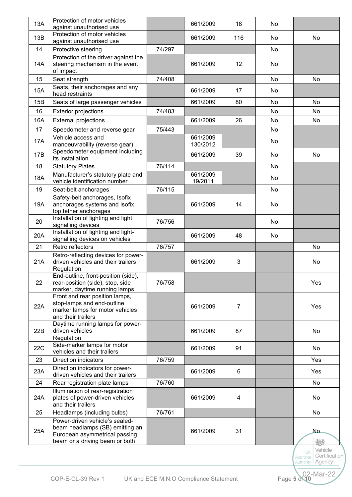| 13A | Protection of motor vehicles<br>against unauthorised use                                                                             |        | 661/2009             | 18             | No  |           |
|-----|--------------------------------------------------------------------------------------------------------------------------------------|--------|----------------------|----------------|-----|-----------|
|     | Protection of motor vehicles                                                                                                         |        |                      |                |     |           |
| 13B | against unauthorised use                                                                                                             |        | 661/2009             | 116            | No. | No.       |
| 14  | Protective steering                                                                                                                  | 74/297 |                      |                | No  |           |
| 14A | Protection of the driver against the<br>steering mechanism in the event<br>of impact                                                 |        | 661/2009             | 12             | No. |           |
| 15  | Seat strength                                                                                                                        | 74/408 |                      |                | No  | <b>No</b> |
| 15A | Seats, their anchorages and any<br>head restraints                                                                                   |        | 661/2009             | 17             | No. |           |
| 15B | Seats of large passenger vehicles                                                                                                    |        | 661/2009             | 80             | No. | <b>No</b> |
| 16  | <b>Exterior projections</b>                                                                                                          | 74/483 |                      |                | No  | No        |
| 16A | <b>External projections</b>                                                                                                          |        | 661/2009             | 26             | No. | No        |
| 17  | Speedometer and reverse gear                                                                                                         | 75/443 |                      |                | No. |           |
| 17A | Vehicle access and<br>manoeuvrability (reverse gear)                                                                                 |        | 661/2009<br>130/2012 |                | No  |           |
| 17B | Speedometer equipment including<br>its installation                                                                                  |        | 661/2009             | 39             | No. | No        |
| 18  | <b>Statutory Plates</b>                                                                                                              | 76/114 |                      |                | No. |           |
| 18A | Manufacturer's statutory plate and<br>vehicle identification number                                                                  |        | 661/2009<br>19/2011  |                | No  |           |
| 19  | Seat-belt anchorages                                                                                                                 | 76/115 |                      |                | No. |           |
| 19A | Safety-belt anchorages, Isofix<br>anchorages systems and Isofix                                                                      |        | 661/2009             | 14             | No. |           |
|     | top tether anchorages                                                                                                                |        |                      |                |     |           |
| 20  | Installation of lighting and light<br>signalling devices                                                                             | 76/756 |                      |                | No. |           |
| 20A | Installation of lighting and light-<br>signalling devices on vehicles                                                                |        | 661/2009             | 48             | No  |           |
| 21  | Retro reflectors                                                                                                                     | 76/757 |                      |                |     | No        |
| 21A | Retro-reflecting devices for power-<br>driven vehicles and their trailers<br>Regulation                                              |        | 661/2009             | 3              |     | No        |
| 22  | End-outline, front-position (side),<br>rear-position (side), stop, side<br>marker, daytime running lamps                             | 76/758 |                      |                |     | Yes       |
| 22A | Front and rear position lamps,<br>stop-lamps and end-outline<br>marker lamps for motor vehicles<br>and their trailers                |        | 661/2009             | $\overline{7}$ |     | Yes       |
| 22B | Daytime running lamps for power-<br>driven vehicles<br>Regulation                                                                    |        | 661/2009             | 87             |     | No        |
| 22C | Side-marker lamps for motor<br>vehicles and their trailers                                                                           |        | 661/2009             | 91             |     | No        |
| 23  | <b>Direction indicators</b>                                                                                                          | 76/759 |                      |                |     | Yes       |
| 23A | Direction indicators for power-<br>driven vehicles and their trailers                                                                |        | 661/2009             | 6              |     | Yes       |
| 24  | Rear registration plate lamps                                                                                                        | 76/760 |                      |                |     | No        |
| 24A | Illumination of rear-registration<br>plates of power-driven vehicles<br>and their trailers                                           |        | 661/2009             | 4              |     | No        |
| 25  | Headlamps (including bulbs)                                                                                                          | 76/761 |                      |                |     | <b>No</b> |
| 25A | Power-driven vehicle's sealed-<br>beam headlamps (SB) emitting an<br>European asymmetrical passing<br>beam or a driving beam or both |        | 661/2009             | 31             |     | No.<br>精  |
|     |                                                                                                                                      |        |                      |                |     | Vehicle   |

Approval **Authority** 

Mar-22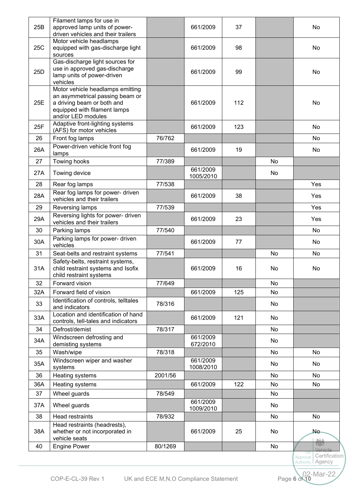| 25B | Filament lamps for use in<br>approved lamp units of power-                                                                                              |         | 661/2009              | 37  |     | No                            |
|-----|---------------------------------------------------------------------------------------------------------------------------------------------------------|---------|-----------------------|-----|-----|-------------------------------|
|     | driven vehicles and their trailers                                                                                                                      |         |                       |     |     |                               |
| 25C | Motor vehicle headlamps<br>equipped with gas-discharge light<br>sources                                                                                 |         | 661/2009              | 98  |     | No                            |
| 25D | Gas-discharge light sources for<br>use in approved gas-discharge<br>lamp units of power-driven<br>vehicles                                              |         | 661/2009              | 99  |     | No                            |
| 25E | Motor vehicle headlamps emitting<br>an asymmetrical passing beam or<br>a driving beam or both and<br>equipped with filament lamps<br>and/or LED modules |         | 661/2009              | 112 |     | No                            |
| 25F | Adaptive front-lighting systems<br>(AFS) for motor vehicles                                                                                             |         | 661/2009              | 123 |     | No                            |
| 26  | Front fog lamps                                                                                                                                         | 76/762  |                       |     |     | No                            |
| 26A | Power-driven vehicle front fog<br>lamps                                                                                                                 |         | 661/2009              | 19  |     | No                            |
| 27  | Towing hooks                                                                                                                                            | 77/389  |                       |     | No  |                               |
| 27A | Towing device                                                                                                                                           |         | 661/2009<br>1005/2010 |     | No  |                               |
| 28  | Rear fog lamps                                                                                                                                          | 77/538  |                       |     |     | Yes                           |
| 28A | Rear fog lamps for power- driven<br>vehicles and their trailers                                                                                         |         | 661/2009              | 38  |     | Yes                           |
| 29  | Reversing lamps                                                                                                                                         | 77/539  |                       |     |     | Yes                           |
| 29A | Reversing lights for power- driven<br>vehicles and their trailers                                                                                       |         | 661/2009              | 23  |     | Yes                           |
| 30  | Parking lamps                                                                                                                                           | 77/540  |                       |     |     | <b>No</b>                     |
| 30A | Parking lamps for power- driven<br>vehicles                                                                                                             |         | 661/2009              | 77  |     | No                            |
| 31  | Seat-belts and restraint systems                                                                                                                        | 77/541  |                       |     | No  | <b>No</b>                     |
| 31A | Safety-belts, restraint systems,<br>child restraint systems and Isofix<br>child restraint systems                                                       |         | 661/2009              | 16  | No  | No                            |
| 32  | Forward vision                                                                                                                                          | 77/649  |                       |     | No  |                               |
| 32A | Forward field of vision                                                                                                                                 |         | 661/2009              | 125 | No  |                               |
| 33  | Identification of controls, telltales<br>and indicators                                                                                                 | 78/316  |                       |     | No  |                               |
| 33A | Location and identification of hand<br>controls, tell-tales and indicators                                                                              |         | 661/2009              | 121 | No  |                               |
| 34  | Defrost/demist                                                                                                                                          | 78/317  |                       |     | No. |                               |
| 34A | Windscreen defrosting and<br>demisting systems                                                                                                          |         | 661/2009<br>672/2010  |     | No  |                               |
| 35  | Wash/wipe                                                                                                                                               | 78/318  |                       |     | No. | No                            |
| 35A | Windscreen wiper and washer<br>systems                                                                                                                  |         | 661/2009<br>1008/2010 |     | No. | No                            |
| 36  | Heating systems                                                                                                                                         | 2001/56 |                       |     | No. | No                            |
| 36A | Heating systems                                                                                                                                         |         | 661/2009              | 122 | No. | No                            |
| 37  | Wheel guards                                                                                                                                            | 78/549  |                       |     | No  |                               |
| 37A | Wheel guards                                                                                                                                            |         | 661/2009<br>1009/2010 |     | No. |                               |
| 38  | <b>Head restraints</b>                                                                                                                                  | 78/932  |                       |     | No  | No                            |
| 38A | Head restraints (headrests),<br>whether or not incorporated in<br>vehicle seats                                                                         |         | 661/2009              | 25  | No  | No-                           |
| 40  | <b>Engine Power</b>                                                                                                                                     | 80/1269 |                       |     | No  | $rac{1}{\sqrt{2}}$<br>Vehicle |
|     |                                                                                                                                                         |         |                       |     |     | Certification<br>Approval     |

**Authority**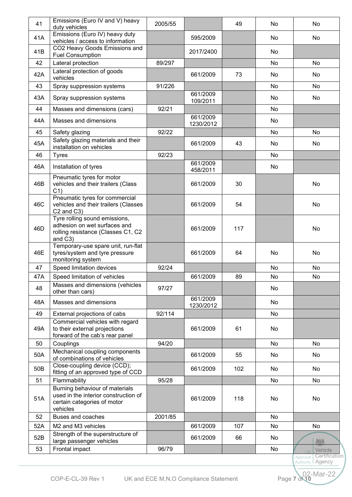| 41  | Emissions (Euro IV and V) heavy<br>duty vehicles                                                                  | 2005/55 |                       | 49  | No  | No                                     |
|-----|-------------------------------------------------------------------------------------------------------------------|---------|-----------------------|-----|-----|----------------------------------------|
| 41A | Emissions (Euro IV) heavy duty<br>vehicles / access to information                                                |         | 595/2009              |     | No. | No                                     |
| 41B | CO2 Heavy Goods Emissions and<br><b>Fuel Consumption</b>                                                          |         | 2017/2400             |     | No  |                                        |
| 42  | Lateral protection                                                                                                | 89/297  |                       |     | No. | <b>No</b>                              |
| 42A | Lateral protection of goods<br>vehicles                                                                           |         | 661/2009              | 73  | No. | No                                     |
| 43  | Spray suppression systems                                                                                         | 91/226  |                       |     | No. | No                                     |
| 43A | Spray suppression systems                                                                                         |         | 661/2009<br>109/2011  |     | No. | No                                     |
| 44  | Masses and dimensions (cars)                                                                                      | 92/21   |                       |     | No  |                                        |
| 44A | Masses and dimensions                                                                                             |         | 661/2009<br>1230/2012 |     | No. |                                        |
| 45  | Safety glazing                                                                                                    | 92/22   |                       |     | No  | No                                     |
| 45A | Safety glazing materials and their<br>installation on vehicles                                                    |         | 661/2009              | 43  | No  | No                                     |
| 46  | <b>Tyres</b>                                                                                                      | 92/23   |                       |     | No  |                                        |
| 46A | Installation of tyres                                                                                             |         | 661/2009<br>458/2011  |     | No  |                                        |
| 46B | Pneumatic tyres for motor<br>vehicles and their trailers (Class<br>C <sub>1</sub>                                 |         | 661/2009              | 30  |     | No                                     |
| 46C | Pneumatic tyres for commercial<br>vehicles and their trailers (Classes<br>C <sub>2</sub> and C <sub>3</sub> )     |         | 661/2009              | 54  |     | <b>No</b>                              |
| 46D | Tyre rolling sound emissions,<br>adhesion on wet surfaces and<br>rolling resistance (Classes C1, C2<br>and C3)    |         | 661/2009              | 117 |     | <b>No</b>                              |
| 46E | Temporary-use spare unit, run-flat<br>tyres/system and tyre pressure<br>monitoring system                         |         | 661/2009              | 64  | No  | <b>No</b>                              |
| 47  | Speed limitation devices                                                                                          | 92/24   |                       |     | No  | <b>No</b>                              |
| 47A | Speed limitation of vehicles                                                                                      |         | 661/2009              | 89  | No  | No                                     |
| 48  | Masses and dimensions (vehicles<br>other than cars)                                                               | 97/27   |                       |     | No  |                                        |
| 48A | Masses and dimensions                                                                                             |         | 661/2009<br>1230/2012 |     | No  |                                        |
| 49  | External projections of cabs                                                                                      | 92/114  |                       |     | No  |                                        |
| 49A | Commercial vehicles with regard<br>to their external projections<br>forward of the cab's rear panel               |         | 661/2009              | 61  | No  |                                        |
| 50  | Couplings                                                                                                         | 94/20   |                       |     | No  | No                                     |
| 50A | Mechanical coupling components<br>of combinations of vehicles                                                     |         | 661/2009              | 55  | No. | No                                     |
| 50B | Close-coupling device (CCD);<br>fitting of an approved type of CCD                                                |         | 661/2009              | 102 | No. | No                                     |
| 51  | Flammability                                                                                                      | 95/28   |                       |     | No  | No                                     |
| 51A | Burning behaviour of materials<br>used in the interior construction of<br>certain categories of motor<br>vehicles |         | 661/2009              | 118 | No  | <b>No</b>                              |
| 52  | <b>Buses and coaches</b>                                                                                          | 2001/85 |                       |     | No. |                                        |
| 52A | M2 and M3 vehicles                                                                                                |         | 661/2009              | 107 | No. | <b>No</b>                              |
| 52B | Strength of the superstructure of<br>large passenger vehicles                                                     |         | 661/2009              | 66  | No. | 263                                    |
| 53  | Frontal impact                                                                                                    | 96/79   |                       |     | No. | Vehicle<br><b>TIK</b><br>Certification |
|     |                                                                                                                   |         |                       |     |     | Approval<br>Agency<br>Authority I      |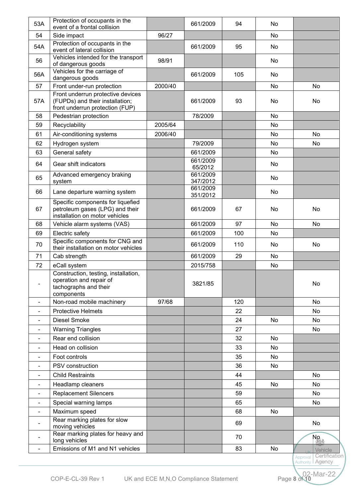| 53A                      | Protection of occupants in the<br>event of a frontal collision                                         |         | 661/2009             | 94  | No |                                                |
|--------------------------|--------------------------------------------------------------------------------------------------------|---------|----------------------|-----|----|------------------------------------------------|
| 54                       | Side impact                                                                                            | 96/27   |                      |     | No |                                                |
| 54A                      | Protection of occupants in the<br>event of lateral collision                                           |         | 661/2009             | 95  | No |                                                |
| 56                       | Vehicles intended for the transport<br>of dangerous goods                                              | 98/91   |                      |     | No |                                                |
| 56A                      | Vehicles for the carriage of                                                                           |         | 661/2009             | 105 | No |                                                |
| 57                       | dangerous goods<br>Front under-run protection                                                          | 2000/40 |                      |     | No | No                                             |
|                          | Front underrun protective devices                                                                      |         |                      |     |    |                                                |
| 57A                      | (FUPDs) and their installation;<br>front underrun protection (FUP)                                     |         | 661/2009             | 93  | No | No.                                            |
| 58                       | Pedestrian protection                                                                                  |         | 78/2009              |     | No |                                                |
| 59                       | Recyclability                                                                                          | 2005/64 |                      |     | No |                                                |
| 61                       | Air-conditioning systems                                                                               | 2006/40 |                      |     | No | No                                             |
| 62                       | Hydrogen system                                                                                        |         | 79/2009              |     | No | No                                             |
| 63                       | General safety                                                                                         |         | 661/2009             |     | No |                                                |
| 64                       | Gear shift indicators                                                                                  |         | 661/2009<br>65/2012  |     | No |                                                |
|                          | Advanced emergency braking                                                                             |         | 661/2009             |     |    |                                                |
| 65                       | system                                                                                                 |         | 347/2012             |     | No |                                                |
| 66                       | Lane departure warning system                                                                          |         | 661/2009<br>351/2012 |     | No |                                                |
| 67                       | Specific components for liquefied<br>petroleum gases (LPG) and their<br>installation on motor vehicles |         | 661/2009             | 67  | No | No                                             |
| 68                       | Vehicle alarm systems (VAS)                                                                            |         | 661/2009             | 97  | No | No                                             |
| 69                       | Electric safety                                                                                        |         | 661/2009             | 100 | No |                                                |
| 70                       | Specific components for CNG and<br>their installation on motor vehicles                                |         | 661/2009             | 110 | No | No                                             |
| 71                       | Cab strength                                                                                           |         | 661/2009             | 29  | No |                                                |
| 72                       | eCall system                                                                                           |         | 2015/758             |     | No |                                                |
|                          | Construction, testing, installation,<br>operation and repair of<br>tachographs and their<br>components |         | 3821/85              |     |    | No.                                            |
| $\overline{\phantom{a}}$ | Non-road mobile machinery                                                                              | 97/68   |                      | 120 |    | No                                             |
| $\blacksquare$           | <b>Protective Helmets</b>                                                                              |         |                      | 22  |    | No                                             |
| $\overline{\phantom{a}}$ | Diesel Smoke                                                                                           |         |                      | 24  | No | No                                             |
|                          | <b>Warning Triangles</b>                                                                               |         |                      | 27  |    | No                                             |
|                          | Rear end collision                                                                                     |         |                      | 32  | No |                                                |
|                          | Head on collision                                                                                      |         |                      | 33  | No |                                                |
|                          | Foot controls                                                                                          |         |                      | 35  | No |                                                |
|                          | PSV construction                                                                                       |         |                      | 36  | No |                                                |
|                          | <b>Child Restraints</b>                                                                                |         |                      | 44  |    | No                                             |
|                          | Headlamp cleaners                                                                                      |         |                      | 45  | No | No                                             |
|                          | <b>Replacement Silencers</b>                                                                           |         |                      | 59  |    | No                                             |
|                          | Special warning lamps                                                                                  |         |                      | 65  |    | No                                             |
| $\blacksquare$           | Maximum speed                                                                                          |         |                      | 68  | No |                                                |
|                          | Rear marking plates for slow<br>moving vehicles                                                        |         |                      | 69  |    | No                                             |
|                          | Rear marking plates for heavy and<br>long vehicles                                                     |         |                      | 70  |    | No<br>I 203                                    |
| $\blacksquare$           | Emissions of M1 and N1 vehicles                                                                        |         |                      | 83  | No | Vehicle                                        |
|                          |                                                                                                        |         |                      |     |    | Certificatio<br>Approval<br>Authority   Agency |

 $-Mar-22$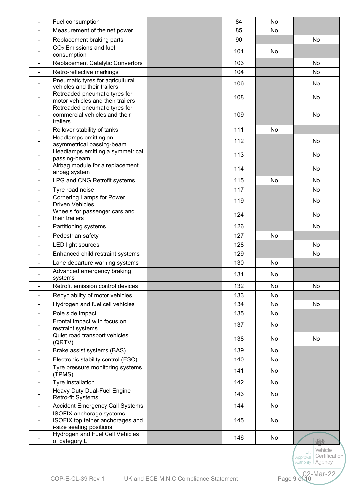| Measurement of the net power<br>85<br>No<br>Replacement braking parts<br>90<br>No<br>$\blacksquare$<br>CO <sub>2</sub> Emissions and fuel<br>101<br>No<br>$\blacksquare$<br>consumption<br>103<br><b>Replacement Catalytic Convertors</b><br>No<br>104<br>Retro-reflective markings<br>No<br>$\blacksquare$<br>Pneumatic tyres for agricultural<br>106<br>No.<br>$\blacksquare$<br>vehicles and their trailers<br>Retreaded pneumatic tyres for<br>108<br>No<br>$\blacksquare$<br>motor vehicles and their trailers<br>Retreaded pneumatic tyres for<br>commercial vehicles and their<br>109<br>No<br>$\overline{a}$<br>trailers<br>111<br>Rollover stability of tanks<br>No<br>$\blacksquare$<br>Headlamps emitting an<br>112<br>No<br>$\blacksquare$<br>asymmetrical passing-beam<br>Headlamps emitting a symmetrical<br>113<br>No<br>$\blacksquare$<br>passing-beam<br>Airbag module for a replacement<br>114<br>No.<br>$\blacksquare$<br>airbag system<br>LPG and CNG Retrofit systems<br>115<br>No<br>No<br>Tyre road noise<br>117<br>No<br>$\blacksquare$<br><b>Cornering Lamps for Power</b><br>119<br>No<br>$\overline{\phantom{a}}$<br><b>Driven Vehicles</b><br>Wheels for passenger cars and<br>124<br>No.<br>$\blacksquare$<br>their trailers<br>126<br>No<br>Partitioning systems<br>Pedestrian safety<br>127<br>No<br>$\blacksquare$<br>128<br>No<br>LED light sources<br>$\blacksquare$<br>129<br>Enhanced child restraint systems<br>No<br>$\blacksquare$<br>130<br>Lane departure warning systems<br>No<br>Advanced emergency braking<br>131<br>No<br>systems<br>Retrofit emission control devices<br>132<br>No<br>No<br>$\blacksquare$<br>Recyclability of motor vehicles<br>133<br>No<br>$\blacksquare$<br>Hydrogen and fuel cell vehicles<br>134<br>No<br>No<br>Pole side impact<br>135<br>No<br>$\blacksquare$<br>Frontal impact with focus on<br>137<br>No<br>restraint systems<br>Quiet road transport vehicles<br>138<br>No<br>No<br>$\blacksquare$<br>(QRTV)<br>Brake assist systems (BAS)<br>139<br>No<br>Electronic stability control (ESC)<br>140<br>No<br>Tyre pressure monitoring systems<br>141<br>No<br>(TPMS)<br>Tyre Installation<br>142<br>No<br>$\blacksquare$<br>Heavy Duty Dual-Fuel Engine<br>143<br>No<br>Retro-fit Systems<br><b>Accident Emergency Call Systems</b><br>144<br>No<br>$\blacksquare$<br>ISOFIX anchorage systems,<br>ISOFIX top tether anchorages and<br>145<br>No<br>i-size seating positions<br>Hydrogen and Fuel Cell Vehicles<br>146<br>No<br>of category L<br>Vehicle | $\blacksquare$ | Fuel consumption | 84 | No |  |
|------------------------------------------------------------------------------------------------------------------------------------------------------------------------------------------------------------------------------------------------------------------------------------------------------------------------------------------------------------------------------------------------------------------------------------------------------------------------------------------------------------------------------------------------------------------------------------------------------------------------------------------------------------------------------------------------------------------------------------------------------------------------------------------------------------------------------------------------------------------------------------------------------------------------------------------------------------------------------------------------------------------------------------------------------------------------------------------------------------------------------------------------------------------------------------------------------------------------------------------------------------------------------------------------------------------------------------------------------------------------------------------------------------------------------------------------------------------------------------------------------------------------------------------------------------------------------------------------------------------------------------------------------------------------------------------------------------------------------------------------------------------------------------------------------------------------------------------------------------------------------------------------------------------------------------------------------------------------------------------------------------------------------------------------------------------------------------------------------------------------------------------------------------------------------------------------------------------------------------------------------------------------------------------------------------------------------------------------------------------------------------------------------------------------------------------------------------------------------------------------------------------------------------|----------------|------------------|----|----|--|
|                                                                                                                                                                                                                                                                                                                                                                                                                                                                                                                                                                                                                                                                                                                                                                                                                                                                                                                                                                                                                                                                                                                                                                                                                                                                                                                                                                                                                                                                                                                                                                                                                                                                                                                                                                                                                                                                                                                                                                                                                                                                                                                                                                                                                                                                                                                                                                                                                                                                                                                                    |                |                  |    |    |  |
|                                                                                                                                                                                                                                                                                                                                                                                                                                                                                                                                                                                                                                                                                                                                                                                                                                                                                                                                                                                                                                                                                                                                                                                                                                                                                                                                                                                                                                                                                                                                                                                                                                                                                                                                                                                                                                                                                                                                                                                                                                                                                                                                                                                                                                                                                                                                                                                                                                                                                                                                    |                |                  |    |    |  |
|                                                                                                                                                                                                                                                                                                                                                                                                                                                                                                                                                                                                                                                                                                                                                                                                                                                                                                                                                                                                                                                                                                                                                                                                                                                                                                                                                                                                                                                                                                                                                                                                                                                                                                                                                                                                                                                                                                                                                                                                                                                                                                                                                                                                                                                                                                                                                                                                                                                                                                                                    |                |                  |    |    |  |
|                                                                                                                                                                                                                                                                                                                                                                                                                                                                                                                                                                                                                                                                                                                                                                                                                                                                                                                                                                                                                                                                                                                                                                                                                                                                                                                                                                                                                                                                                                                                                                                                                                                                                                                                                                                                                                                                                                                                                                                                                                                                                                                                                                                                                                                                                                                                                                                                                                                                                                                                    |                |                  |    |    |  |
|                                                                                                                                                                                                                                                                                                                                                                                                                                                                                                                                                                                                                                                                                                                                                                                                                                                                                                                                                                                                                                                                                                                                                                                                                                                                                                                                                                                                                                                                                                                                                                                                                                                                                                                                                                                                                                                                                                                                                                                                                                                                                                                                                                                                                                                                                                                                                                                                                                                                                                                                    |                |                  |    |    |  |
|                                                                                                                                                                                                                                                                                                                                                                                                                                                                                                                                                                                                                                                                                                                                                                                                                                                                                                                                                                                                                                                                                                                                                                                                                                                                                                                                                                                                                                                                                                                                                                                                                                                                                                                                                                                                                                                                                                                                                                                                                                                                                                                                                                                                                                                                                                                                                                                                                                                                                                                                    |                |                  |    |    |  |
|                                                                                                                                                                                                                                                                                                                                                                                                                                                                                                                                                                                                                                                                                                                                                                                                                                                                                                                                                                                                                                                                                                                                                                                                                                                                                                                                                                                                                                                                                                                                                                                                                                                                                                                                                                                                                                                                                                                                                                                                                                                                                                                                                                                                                                                                                                                                                                                                                                                                                                                                    |                |                  |    |    |  |
|                                                                                                                                                                                                                                                                                                                                                                                                                                                                                                                                                                                                                                                                                                                                                                                                                                                                                                                                                                                                                                                                                                                                                                                                                                                                                                                                                                                                                                                                                                                                                                                                                                                                                                                                                                                                                                                                                                                                                                                                                                                                                                                                                                                                                                                                                                                                                                                                                                                                                                                                    |                |                  |    |    |  |
|                                                                                                                                                                                                                                                                                                                                                                                                                                                                                                                                                                                                                                                                                                                                                                                                                                                                                                                                                                                                                                                                                                                                                                                                                                                                                                                                                                                                                                                                                                                                                                                                                                                                                                                                                                                                                                                                                                                                                                                                                                                                                                                                                                                                                                                                                                                                                                                                                                                                                                                                    |                |                  |    |    |  |
|                                                                                                                                                                                                                                                                                                                                                                                                                                                                                                                                                                                                                                                                                                                                                                                                                                                                                                                                                                                                                                                                                                                                                                                                                                                                                                                                                                                                                                                                                                                                                                                                                                                                                                                                                                                                                                                                                                                                                                                                                                                                                                                                                                                                                                                                                                                                                                                                                                                                                                                                    |                |                  |    |    |  |
|                                                                                                                                                                                                                                                                                                                                                                                                                                                                                                                                                                                                                                                                                                                                                                                                                                                                                                                                                                                                                                                                                                                                                                                                                                                                                                                                                                                                                                                                                                                                                                                                                                                                                                                                                                                                                                                                                                                                                                                                                                                                                                                                                                                                                                                                                                                                                                                                                                                                                                                                    |                |                  |    |    |  |
|                                                                                                                                                                                                                                                                                                                                                                                                                                                                                                                                                                                                                                                                                                                                                                                                                                                                                                                                                                                                                                                                                                                                                                                                                                                                                                                                                                                                                                                                                                                                                                                                                                                                                                                                                                                                                                                                                                                                                                                                                                                                                                                                                                                                                                                                                                                                                                                                                                                                                                                                    |                |                  |    |    |  |
|                                                                                                                                                                                                                                                                                                                                                                                                                                                                                                                                                                                                                                                                                                                                                                                                                                                                                                                                                                                                                                                                                                                                                                                                                                                                                                                                                                                                                                                                                                                                                                                                                                                                                                                                                                                                                                                                                                                                                                                                                                                                                                                                                                                                                                                                                                                                                                                                                                                                                                                                    |                |                  |    |    |  |
|                                                                                                                                                                                                                                                                                                                                                                                                                                                                                                                                                                                                                                                                                                                                                                                                                                                                                                                                                                                                                                                                                                                                                                                                                                                                                                                                                                                                                                                                                                                                                                                                                                                                                                                                                                                                                                                                                                                                                                                                                                                                                                                                                                                                                                                                                                                                                                                                                                                                                                                                    |                |                  |    |    |  |
|                                                                                                                                                                                                                                                                                                                                                                                                                                                                                                                                                                                                                                                                                                                                                                                                                                                                                                                                                                                                                                                                                                                                                                                                                                                                                                                                                                                                                                                                                                                                                                                                                                                                                                                                                                                                                                                                                                                                                                                                                                                                                                                                                                                                                                                                                                                                                                                                                                                                                                                                    |                |                  |    |    |  |
|                                                                                                                                                                                                                                                                                                                                                                                                                                                                                                                                                                                                                                                                                                                                                                                                                                                                                                                                                                                                                                                                                                                                                                                                                                                                                                                                                                                                                                                                                                                                                                                                                                                                                                                                                                                                                                                                                                                                                                                                                                                                                                                                                                                                                                                                                                                                                                                                                                                                                                                                    |                |                  |    |    |  |
|                                                                                                                                                                                                                                                                                                                                                                                                                                                                                                                                                                                                                                                                                                                                                                                                                                                                                                                                                                                                                                                                                                                                                                                                                                                                                                                                                                                                                                                                                                                                                                                                                                                                                                                                                                                                                                                                                                                                                                                                                                                                                                                                                                                                                                                                                                                                                                                                                                                                                                                                    |                |                  |    |    |  |
|                                                                                                                                                                                                                                                                                                                                                                                                                                                                                                                                                                                                                                                                                                                                                                                                                                                                                                                                                                                                                                                                                                                                                                                                                                                                                                                                                                                                                                                                                                                                                                                                                                                                                                                                                                                                                                                                                                                                                                                                                                                                                                                                                                                                                                                                                                                                                                                                                                                                                                                                    |                |                  |    |    |  |
|                                                                                                                                                                                                                                                                                                                                                                                                                                                                                                                                                                                                                                                                                                                                                                                                                                                                                                                                                                                                                                                                                                                                                                                                                                                                                                                                                                                                                                                                                                                                                                                                                                                                                                                                                                                                                                                                                                                                                                                                                                                                                                                                                                                                                                                                                                                                                                                                                                                                                                                                    |                |                  |    |    |  |
|                                                                                                                                                                                                                                                                                                                                                                                                                                                                                                                                                                                                                                                                                                                                                                                                                                                                                                                                                                                                                                                                                                                                                                                                                                                                                                                                                                                                                                                                                                                                                                                                                                                                                                                                                                                                                                                                                                                                                                                                                                                                                                                                                                                                                                                                                                                                                                                                                                                                                                                                    |                |                  |    |    |  |
|                                                                                                                                                                                                                                                                                                                                                                                                                                                                                                                                                                                                                                                                                                                                                                                                                                                                                                                                                                                                                                                                                                                                                                                                                                                                                                                                                                                                                                                                                                                                                                                                                                                                                                                                                                                                                                                                                                                                                                                                                                                                                                                                                                                                                                                                                                                                                                                                                                                                                                                                    |                |                  |    |    |  |
|                                                                                                                                                                                                                                                                                                                                                                                                                                                                                                                                                                                                                                                                                                                                                                                                                                                                                                                                                                                                                                                                                                                                                                                                                                                                                                                                                                                                                                                                                                                                                                                                                                                                                                                                                                                                                                                                                                                                                                                                                                                                                                                                                                                                                                                                                                                                                                                                                                                                                                                                    |                |                  |    |    |  |
|                                                                                                                                                                                                                                                                                                                                                                                                                                                                                                                                                                                                                                                                                                                                                                                                                                                                                                                                                                                                                                                                                                                                                                                                                                                                                                                                                                                                                                                                                                                                                                                                                                                                                                                                                                                                                                                                                                                                                                                                                                                                                                                                                                                                                                                                                                                                                                                                                                                                                                                                    |                |                  |    |    |  |
|                                                                                                                                                                                                                                                                                                                                                                                                                                                                                                                                                                                                                                                                                                                                                                                                                                                                                                                                                                                                                                                                                                                                                                                                                                                                                                                                                                                                                                                                                                                                                                                                                                                                                                                                                                                                                                                                                                                                                                                                                                                                                                                                                                                                                                                                                                                                                                                                                                                                                                                                    |                |                  |    |    |  |
|                                                                                                                                                                                                                                                                                                                                                                                                                                                                                                                                                                                                                                                                                                                                                                                                                                                                                                                                                                                                                                                                                                                                                                                                                                                                                                                                                                                                                                                                                                                                                                                                                                                                                                                                                                                                                                                                                                                                                                                                                                                                                                                                                                                                                                                                                                                                                                                                                                                                                                                                    |                |                  |    |    |  |
|                                                                                                                                                                                                                                                                                                                                                                                                                                                                                                                                                                                                                                                                                                                                                                                                                                                                                                                                                                                                                                                                                                                                                                                                                                                                                                                                                                                                                                                                                                                                                                                                                                                                                                                                                                                                                                                                                                                                                                                                                                                                                                                                                                                                                                                                                                                                                                                                                                                                                                                                    |                |                  |    |    |  |
|                                                                                                                                                                                                                                                                                                                                                                                                                                                                                                                                                                                                                                                                                                                                                                                                                                                                                                                                                                                                                                                                                                                                                                                                                                                                                                                                                                                                                                                                                                                                                                                                                                                                                                                                                                                                                                                                                                                                                                                                                                                                                                                                                                                                                                                                                                                                                                                                                                                                                                                                    |                |                  |    |    |  |
|                                                                                                                                                                                                                                                                                                                                                                                                                                                                                                                                                                                                                                                                                                                                                                                                                                                                                                                                                                                                                                                                                                                                                                                                                                                                                                                                                                                                                                                                                                                                                                                                                                                                                                                                                                                                                                                                                                                                                                                                                                                                                                                                                                                                                                                                                                                                                                                                                                                                                                                                    |                |                  |    |    |  |
|                                                                                                                                                                                                                                                                                                                                                                                                                                                                                                                                                                                                                                                                                                                                                                                                                                                                                                                                                                                                                                                                                                                                                                                                                                                                                                                                                                                                                                                                                                                                                                                                                                                                                                                                                                                                                                                                                                                                                                                                                                                                                                                                                                                                                                                                                                                                                                                                                                                                                                                                    |                |                  |    |    |  |
|                                                                                                                                                                                                                                                                                                                                                                                                                                                                                                                                                                                                                                                                                                                                                                                                                                                                                                                                                                                                                                                                                                                                                                                                                                                                                                                                                                                                                                                                                                                                                                                                                                                                                                                                                                                                                                                                                                                                                                                                                                                                                                                                                                                                                                                                                                                                                                                                                                                                                                                                    |                |                  |    |    |  |
|                                                                                                                                                                                                                                                                                                                                                                                                                                                                                                                                                                                                                                                                                                                                                                                                                                                                                                                                                                                                                                                                                                                                                                                                                                                                                                                                                                                                                                                                                                                                                                                                                                                                                                                                                                                                                                                                                                                                                                                                                                                                                                                                                                                                                                                                                                                                                                                                                                                                                                                                    |                |                  |    |    |  |
|                                                                                                                                                                                                                                                                                                                                                                                                                                                                                                                                                                                                                                                                                                                                                                                                                                                                                                                                                                                                                                                                                                                                                                                                                                                                                                                                                                                                                                                                                                                                                                                                                                                                                                                                                                                                                                                                                                                                                                                                                                                                                                                                                                                                                                                                                                                                                                                                                                                                                                                                    |                |                  |    |    |  |
|                                                                                                                                                                                                                                                                                                                                                                                                                                                                                                                                                                                                                                                                                                                                                                                                                                                                                                                                                                                                                                                                                                                                                                                                                                                                                                                                                                                                                                                                                                                                                                                                                                                                                                                                                                                                                                                                                                                                                                                                                                                                                                                                                                                                                                                                                                                                                                                                                                                                                                                                    |                |                  |    |    |  |
|                                                                                                                                                                                                                                                                                                                                                                                                                                                                                                                                                                                                                                                                                                                                                                                                                                                                                                                                                                                                                                                                                                                                                                                                                                                                                                                                                                                                                                                                                                                                                                                                                                                                                                                                                                                                                                                                                                                                                                                                                                                                                                                                                                                                                                                                                                                                                                                                                                                                                                                                    |                |                  |    |    |  |
|                                                                                                                                                                                                                                                                                                                                                                                                                                                                                                                                                                                                                                                                                                                                                                                                                                                                                                                                                                                                                                                                                                                                                                                                                                                                                                                                                                                                                                                                                                                                                                                                                                                                                                                                                                                                                                                                                                                                                                                                                                                                                                                                                                                                                                                                                                                                                                                                                                                                                                                                    |                |                  |    |    |  |
|                                                                                                                                                                                                                                                                                                                                                                                                                                                                                                                                                                                                                                                                                                                                                                                                                                                                                                                                                                                                                                                                                                                                                                                                                                                                                                                                                                                                                                                                                                                                                                                                                                                                                                                                                                                                                                                                                                                                                                                                                                                                                                                                                                                                                                                                                                                                                                                                                                                                                                                                    |                |                  |    |    |  |

Approval **Authority**